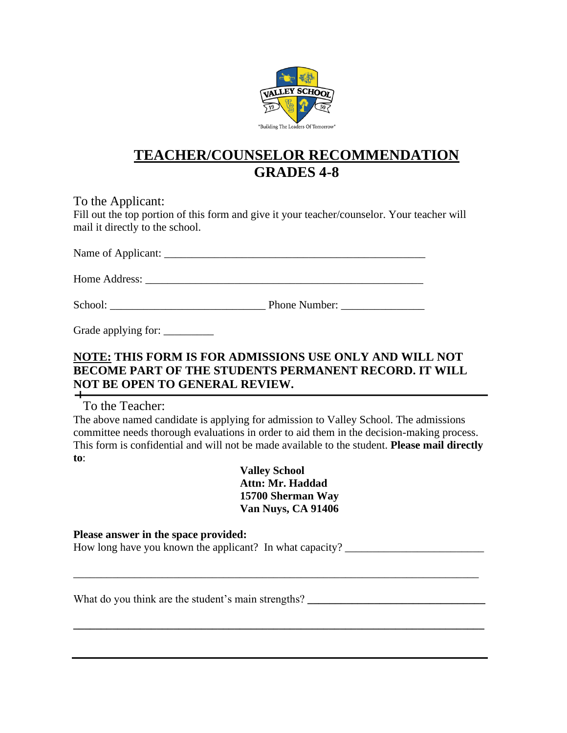

## **TEACHER/COUNSELOR RECOMMENDATION GRADES 4-8**

To the Applicant: Fill out the top portion of this form and give it your teacher/counselor. Your teacher will mail it directly to the school.

Name of Applicant: \_\_\_\_\_\_\_\_\_\_\_\_\_\_\_\_\_\_\_\_\_\_\_\_\_\_\_\_\_\_\_\_\_\_\_\_\_\_\_\_\_\_\_\_\_\_\_

Home Address:

School: Thone Number:

Grade applying for:

## **NOTE: THIS FORM IS FOR ADMISSIONS USE ONLY AND WILL NOT BECOME PART OF THE STUDENTS PERMANENT RECORD. IT WILL NOT BE OPEN TO GENERAL REVIEW.**

To the Teacher:

The above named candidate is applying for admission to Valley School. The admissions committee needs thorough evaluations in order to aid them in the decision-making process. This form is confidential and will not be made available to the student. **Please mail directly to**:

> **Valley School Attn: Mr. Haddad 15700 Sherman Way Van Nuys, CA 91406**

\_\_\_\_\_\_\_\_\_\_\_\_\_\_\_\_\_\_\_\_\_\_\_\_\_\_\_\_\_\_\_\_\_\_\_\_\_\_\_\_\_\_\_\_\_\_\_\_\_\_\_\_\_\_\_\_\_\_\_\_\_\_\_\_\_\_\_\_\_\_\_\_\_

**\_\_\_\_\_\_\_\_\_\_\_\_\_\_\_\_\_\_\_\_\_\_\_\_\_\_\_\_\_\_\_\_\_\_\_\_\_\_\_\_\_\_\_\_\_\_\_\_\_\_\_\_\_\_\_\_\_\_\_\_\_\_\_\_\_\_\_\_\_\_\_\_\_\_**

**Please answer in the space provided:**  How long have you known the applicant? In what capacity? \_\_\_\_\_\_\_\_\_\_\_\_\_\_\_\_\_\_\_\_\_\_\_\_

What do you think are the student's main strengths? \_\_\_\_\_\_\_\_\_\_\_\_\_\_\_\_\_\_\_\_\_\_\_\_\_\_\_\_\_